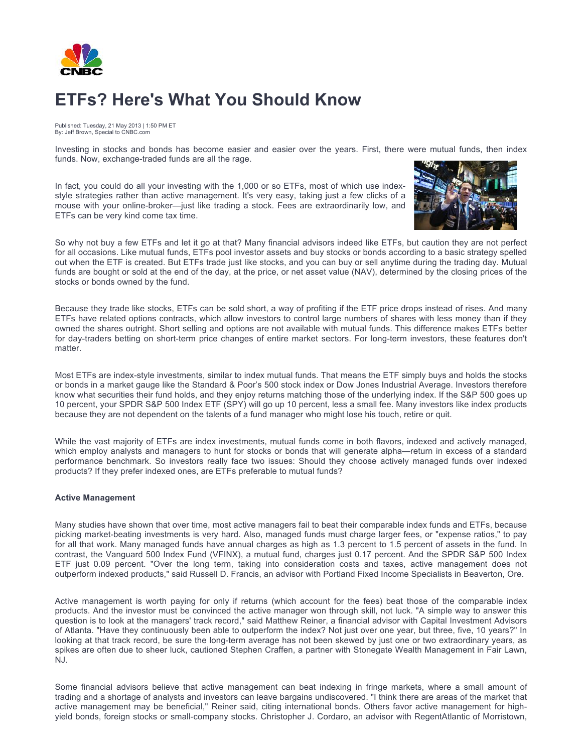

## **ETFs? Here's What You Should Know**

Published: Tuesday, 21 May 2013 | 1:50 PM ET By: Jeff Brown, Special to CNBC.com

Investing in stocks and bonds has become easier and easier over the years. First, there were mutual funds, then index funds. Now, exchange-traded funds are all the rage.

In fact, you could do all your investing with the 1,000 or so ETFs, most of which use indexstyle strategies rather than active management. It's very easy, taking just a few clicks of a mouse with your online-broker—just like trading a stock. Fees are extraordinarily low, and ETFs can be very kind come tax time.



So why not buy a few ETFs and let it go at that? Many financial advisors indeed like ETFs, but caution they are not perfect for all occasions. Like mutual funds, ETFs pool investor assets and buy stocks or bonds according to a basic strategy spelled out when the ETF is created. But ETFs trade just like stocks, and you can buy or sell anytime during the trading day. Mutual funds are bought or sold at the end of the day, at the price, or net asset value (NAV), determined by the closing prices of the stocks or bonds owned by the fund.

Because they trade like stocks, ETFs can be sold short, a way of profiting if the ETF price drops instead of rises. And many ETFs have related options contracts, which allow investors to control large numbers of shares with less money than if they owned the shares outright. Short selling and options are not available with mutual funds. This difference makes ETFs better for day-traders betting on short-term price changes of entire market sectors. For long-term investors, these features don't matter.

Most ETFs are index-style investments, similar to index mutual funds. That means the ETF simply buys and holds the stocks or bonds in a market gauge like the Standard & Poor's 500 stock index or Dow Jones Industrial Average. Investors therefore know what securities their fund holds, and they enjoy returns matching those of the underlying index. If the S&P 500 goes up 10 percent, your SPDR S&P 500 Index ETF (SPY) will go up 10 percent, less a small fee. Many investors like index products because they are not dependent on the talents of a fund manager who might lose his touch, retire or quit.

While the vast majority of ETFs are index investments, mutual funds come in both flavors, indexed and actively managed, which employ analysts and managers to hunt for stocks or bonds that will generate alpha—return in excess of a standard performance benchmark. So investors really face two issues: Should they choose actively managed funds over indexed products? If they prefer indexed ones, are ETFs preferable to mutual funds?

## **Active Management**

Many studies have shown that over time, most active managers fail to beat their comparable index funds and ETFs, because picking market-beating investments is very hard. Also, managed funds must charge larger fees, or "expense ratios," to pay for all that work. Many managed funds have annual charges as high as 1.3 percent to 1.5 percent of assets in the fund. In contrast, the Vanguard 500 Index Fund (VFINX), a mutual fund, charges just 0.17 percent. And the SPDR S&P 500 Index ETF just 0.09 percent. "Over the long term, taking into consideration costs and taxes, active management does not outperform indexed products," said Russell D. Francis, an advisor with Portland Fixed Income Specialists in Beaverton, Ore.

Active management is worth paying for only if returns (which account for the fees) beat those of the comparable index products. And the investor must be convinced the active manager won through skill, not luck. "A simple way to answer this question is to look at the managers' track record," said Matthew Reiner, a financial advisor with Capital Investment Advisors of Atlanta. "Have they continuously been able to outperform the index? Not just over one year, but three, five, 10 years?" In looking at that track record, be sure the long-term average has not been skewed by just one or two extraordinary years, as spikes are often due to sheer luck, cautioned Stephen Craffen, a partner with Stonegate Wealth Management in Fair Lawn, NJ.

Some financial advisors believe that active management can beat indexing in fringe markets, where a small amount of trading and a shortage of analysts and investors can leave bargains undiscovered. "I think there are areas of the market that active management may be beneficial," Reiner said, citing international bonds. Others favor active management for highyield bonds, foreign stocks or small-company stocks. Christopher J. Cordaro, an advisor with RegentAtlantic of Morristown,